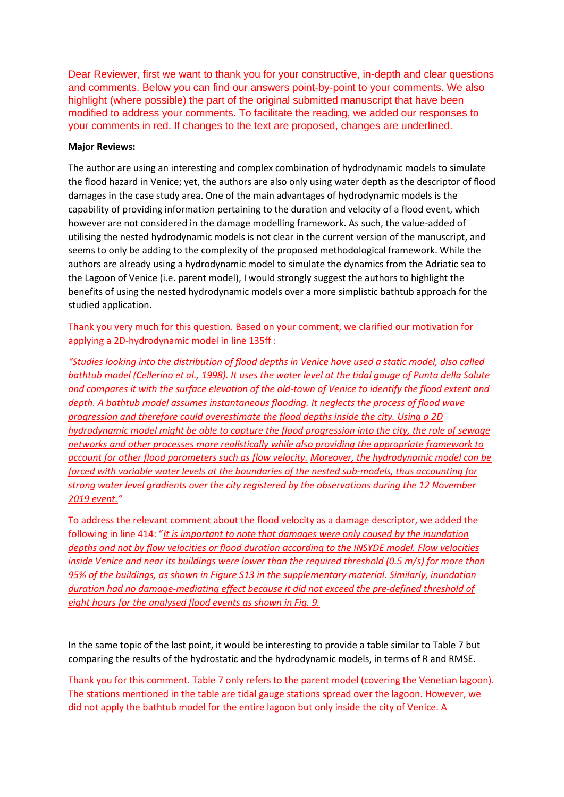Dear Reviewer, first we want to thank you for your constructive, in-depth and clear questions and comments. Below you can find our answers point-by-point to your comments. We also highlight (where possible) the part of the original submitted manuscript that have been modified to address your comments. To facilitate the reading, we added our responses to your comments in red. If changes to the text are proposed, changes are underlined.

## **Major Reviews:**

The author are using an interesting and complex combination of hydrodynamic models to simulate the flood hazard in Venice; yet, the authors are also only using water depth as the descriptor of flood damages in the case study area. One of the main advantages of hydrodynamic models is the capability of providing information pertaining to the duration and velocity of a flood event, which however are not considered in the damage modelling framework. As such, the value-added of utilising the nested hydrodynamic models is not clear in the current version of the manuscript, and seems to only be adding to the complexity of the proposed methodological framework. While the authors are already using a hydrodynamic model to simulate the dynamics from the Adriatic sea to the Lagoon of Venice (i.e. parent model), I would strongly suggest the authors to highlight the benefits of using the nested hydrodynamic models over a more simplistic bathtub approach for the studied application.

Thank you very much for this question. Based on your comment, we clarified our motivation for applying a 2D-hydrodynamic model in line 135ff :

*"Studies looking into the distribution of flood depths in Venice have used a static model, also called bathtub model (Cellerino et al., 1998). It uses the water level at the tidal gauge of Punta della Salute and compares it with the surface elevation of the old-town of Venice to identify the flood extent and depth. A bathtub model assumes instantaneous flooding. It neglects the process of flood wave progression and therefore could overestimate the flood depths inside the city. Using a 2D hydrodynamic model might be able to capture the flood progression into the city, the role of sewage networks and other processes more realistically while also providing the appropriate framework to account for other flood parameters such as flow velocity. Moreover, the hydrodynamic model can be forced with variable water levels at the boundaries of the nested sub-models, thus accounting for strong water level gradients over the city registered by the observations during the 12 November 2019 event."*

To address the relevant comment about the flood velocity as a damage descriptor, we added the following in line 414: "*It is important to note that damages were only caused by the inundation depths and not by flow velocities or flood duration according to the INSYDE model. Flow velocities inside Venice and near its buildings were lower than the required threshold (0.5 m/s) for more than 95% of the buildings, as shown in Figure S13 in the supplementary material. Similarly, inundation duration had no damage-mediating effect because it did not exceed the pre-defined threshold of eight hours for the analysed flood events as shown in Fig. 9.*

In the same topic of the last point, it would be interesting to provide a table similar to Table 7 but comparing the results of the hydrostatic and the hydrodynamic models, in terms of R and RMSE.

Thank you for this comment. Table 7 only refers to the parent model (covering the Venetian lagoon). The stations mentioned in the table are tidal gauge stations spread over the lagoon. However, we did not apply the bathtub model for the entire lagoon but only inside the city of Venice. A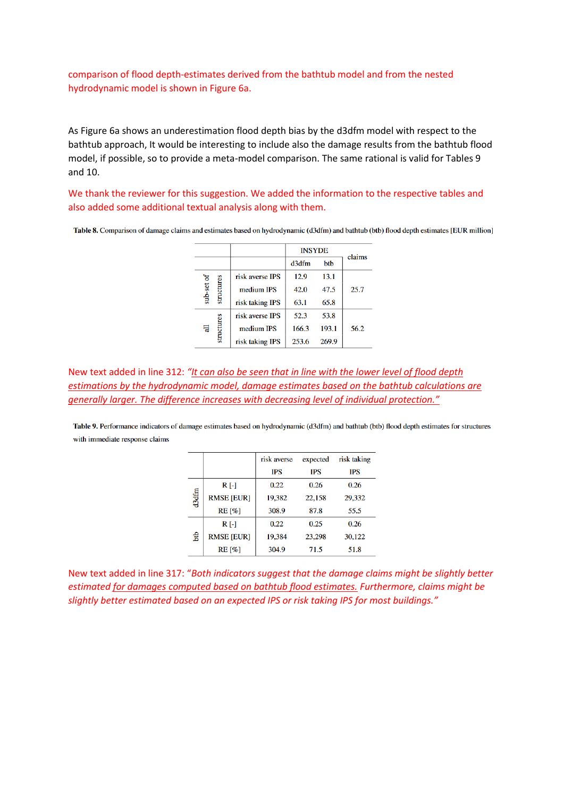comparison of flood depth-estimates derived from the bathtub model and from the nested hydrodynamic model is shown in Figure 6a.

As Figure 6a shows an underestimation flood depth bias by the d3dfm model with respect to the bathtub approach, It would be interesting to include also the damage results from the bathtub flood model, if possible, so to provide a meta-model comparison. The same rational is valid for Tables 9 and 10.

We thank the reviewer for this suggestion. We added the information to the respective tables and also added some additional textual analysis along with them.

|                          |                 | <b>INSYDE</b> | claims |      |
|--------------------------|-----------------|---------------|--------|------|
|                          |                 | d3dfm         | btb    |      |
|                          | risk averse IPS | 12.9          | 13.1   |      |
| sub-set of<br>structures | medium IPS      | 42.0          | 47.5   | 25.7 |
|                          | risk taking IPS | 63.1          | 65.8   |      |
|                          | risk averse IPS | 52.3          | 53.8   |      |
| structures<br>듾          | medium IPS      | 166.3         | 193.1  | 56.2 |
|                          | risk taking IPS | 253.6         | 269.9  |      |

Table 8. Comparison of damage claims and estimates based on hydrodynamic (d3dfm) and bathtub (btb) flood depth estimates [EUR million]

New text added in line 312: *"It can also be seen that in line with the lower level of flood depth estimations by the hydrodynamic model, damage estimates based on the bathtub calculations are generally larger. The difference increases with decreasing level of individual protection."*

Table 9. Performance indicators of damage estimates based on hydrodynamic (d3dfm) and bathtub (btb) flood depth estimates for structures with immediate response claims

|       |                   | risk averse | expected   | risk taking |
|-------|-------------------|-------------|------------|-------------|
|       |                   | <b>IPS</b>  | <b>IPS</b> | <b>IPS</b>  |
| d3dfm | R [-]             | 0.22        | 0.26       | 0.26        |
|       | <b>RMSE [EUR]</b> | 19,382      | 22,158     | 29,332      |
|       | <b>RE</b> [%]     | 308.9       | 87.8       | 55.5        |
| ЪЪ    | $R$ [-]           | 0.22        | 0.25       | 0.26        |
|       | <b>RMSE [EUR]</b> | 19.384      | 23,298     | 30,122      |
|       | $RE[\%]$          | 304.9       | 71.5       | 51.8        |

New text added in line 317: "*Both indicators suggest that the damage claims might be slightly better estimated for damages computed based on bathtub flood estimates. Furthermore, claims might be slightly better estimated based on an expected IPS or risk taking IPS for most buildings."*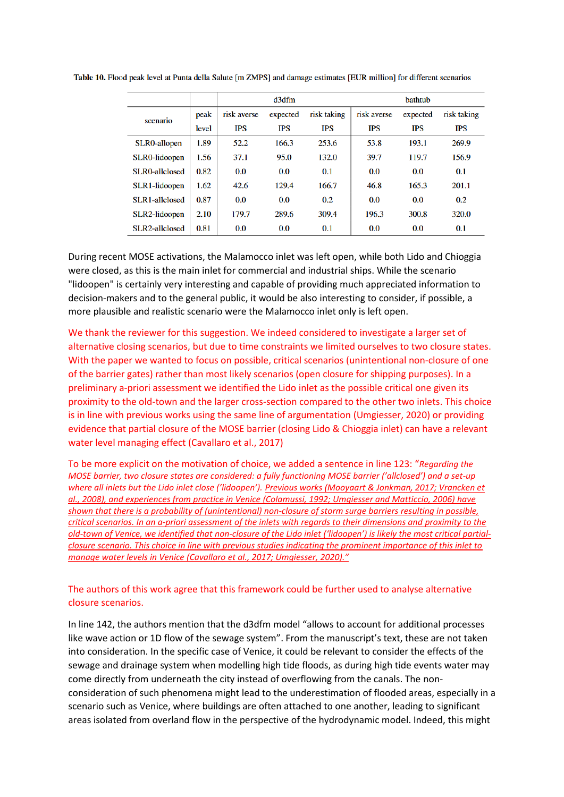|                     |       |             | d3dfm      |             |             | <b>bathtub</b> |             |
|---------------------|-------|-------------|------------|-------------|-------------|----------------|-------------|
| scenario            | peak  | risk averse | expected   | risk taking | risk averse | expected       | risk taking |
|                     | level | <b>IPS</b>  | <b>IPS</b> | <b>IPS</b>  | <b>IPS</b>  | <b>IPS</b>     | IPS         |
| <b>SLR0-allopen</b> | 1.89  | 52.2        | 166.3      | 253.6       | 53.8        | 193.1          | 269.9       |
| SLR0-lidoopen       | 1.56  | 37.1        | 95.0       | 132.0       | 39.7        | 119.7          | 156.9       |
| SLR0-allclosed      | 0.82  | 0.0         | 0.0        | 0.1         | 0.0         | 0.0            | 0.1         |
| SLR1-lidoopen       | 1.62  | 42.6        | 129.4      | 166.7       | 46.8        | 165.3          | 201.1       |
| SLR1-allclosed      | 0.87  | 0.0         | 0.0        | 0.2         | 0.0         | 0.0            | 0.2         |
| SLR2-lidoopen       | 2.10  | 179.7       | 289.6      | 309.4       | 196.3       | 300.8          | 320.0       |
| SLR2-allclosed      | 0.81  | 0.0         | 0.0        | 0.1         | 0.0         | 0.0            | 0.1         |

Table 10. Flood peak level at Punta della Salute [m ZMPS] and damage estimates [EUR million] for different scenarios

During recent MOSE activations, the Malamocco inlet was left open, while both Lido and Chioggia were closed, as this is the main inlet for commercial and industrial ships. While the scenario "lidoopen" is certainly very interesting and capable of providing much appreciated information to decision-makers and to the general public, it would be also interesting to consider, if possible, a more plausible and realistic scenario were the Malamocco inlet only is left open.

We thank the reviewer for this suggestion. We indeed considered to investigate a larger set of alternative closing scenarios, but due to time constraints we limited ourselves to two closure states. With the paper we wanted to focus on possible, critical scenarios (unintentional non-closure of one of the barrier gates) rather than most likely scenarios (open closure for shipping purposes). In a preliminary a-priori assessment we identified the Lido inlet as the possible critical one given its proximity to the old-town and the larger cross-section compared to the other two inlets. This choice is in line with previous works using the same line of argumentation (Umgiesser, 2020) or providing evidence that partial closure of the MOSE barrier (closing Lido & Chioggia inlet) can have a relevant water level managing effect (Cavallaro et al., 2017)

To be more explicit on the motivation of choice, we added a sentence in line 123: "*Regarding the MOSE barrier, two closure states are considered: a fully functioning MOSE barrier ('allclosed') and a set-up where all inlets but the Lido inlet close ('lidoopen'). Previous works (Mooyaart & Jonkman, 2017; Vrancken et al., 2008), and experiences from practice in Venice (Colamussi, 1992; Umgiesser and Matticcio, 2006) have shown that there is a probability of (unintentional) non-closure of storm surge barriers resulting in possible, critical scenarios. In an a-priori assessment of the inlets with regards to their dimensions and proximity to the old-town of Venice, we identified that non-closure of the Lido inlet ('lidoopen') is likely the most critical partialclosure scenario. This choice in line with previous studies indicating the prominent importance of this inlet to manage water levels in Venice (Cavallaro et al., 2017; Umgiesser, 2020)."*

## The authors of this work agree that this framework could be further used to analyse alternative closure scenarios.

In line 142, the authors mention that the d3dfm model "allows to account for additional processes like wave action or 1D flow of the sewage system". From the manuscript's text, these are not taken into consideration. In the specific case of Venice, it could be relevant to consider the effects of the sewage and drainage system when modelling high tide floods, as during high tide events water may come directly from underneath the city instead of overflowing from the canals. The nonconsideration of such phenomena might lead to the underestimation of flooded areas, especially in a scenario such as Venice, where buildings are often attached to one another, leading to significant areas isolated from overland flow in the perspective of the hydrodynamic model. Indeed, this might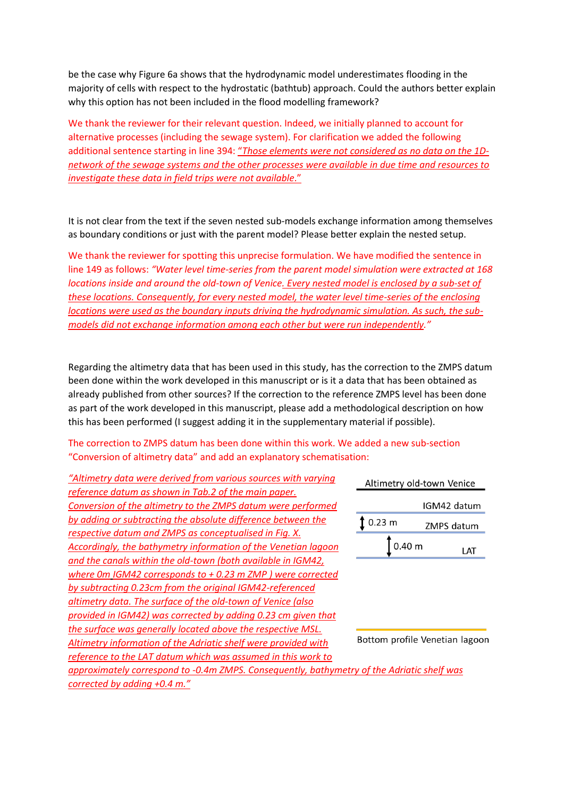be the case why Figure 6a shows that the hydrodynamic model underestimates flooding in the majority of cells with respect to the hydrostatic (bathtub) approach. Could the authors better explain why this option has not been included in the flood modelling framework?

We thank the reviewer for their relevant question. Indeed, we initially planned to account for alternative processes (including the sewage system). For clarification we added the following additional sentence starting in line 394: "*Those elements were not considered as no data on the 1Dnetwork of the sewage systems and the other processes were available in due time and resources to investigate these data in field trips were not available*."

It is not clear from the text if the seven nested sub-models exchange information among themselves as boundary conditions or just with the parent model? Please better explain the nested setup.

We thank the reviewer for spotting this unprecise formulation. We have modified the sentence in line 149 as follows: *"Water level time-series from the parent model simulation were extracted at 168 locations inside and around the old-town of Venice. Every nested model is enclosed by a sub-set of these locations. Consequently, for every nested model, the water level time-series of the enclosing locations were used as the boundary inputs driving the hydrodynamic simulation. As such, the submodels did not exchange information among each other but were run independently."*

Regarding the altimetry data that has been used in this study, has the correction to the ZMPS datum been done within the work developed in this manuscript or is it a data that has been obtained as already published from other sources? If the correction to the reference ZMPS level has been done as part of the work developed in this manuscript, please add a methodological description on how this has been performed (I suggest adding it in the supplementary material if possible).

## The correction to ZMPS datum has been done within this work. We added a new sub-section "Conversion of altimetry data" and add an explanatory schematisation:

| "Altimetry data were derived from various sources with varying                             | Altimetry old-town Venice      |  |             |
|--------------------------------------------------------------------------------------------|--------------------------------|--|-------------|
| reference datum as shown in Tab.2 of the main paper.                                       |                                |  |             |
| Conversion of the altimetry to the ZMPS datum were performed                               |                                |  | IGM42 datum |
| by adding or subtracting the absolute difference between the                               | $0.23$ m                       |  | ZMPS datum  |
| respective datum and ZMPS as conceptualised in Fig. X.                                     |                                |  |             |
| Accordingly, the bathymetry information of the Venetian lagoon                             | 0.40 <sub>m</sub>              |  | LAT         |
| and the canals within the old-town (both available in IGM42,                               |                                |  |             |
| where 0m IGM42 corresponds to $+$ 0.23 m ZMP) were corrected                               |                                |  |             |
| by subtracting 0.23cm from the original IGM42-referenced                                   |                                |  |             |
| altimetry data. The surface of the old-town of Venice (also                                |                                |  |             |
| provided in IGM42) was corrected by adding 0.23 cm given that                              |                                |  |             |
| the surface was generally located above the respective MSL.                                |                                |  |             |
| Altimetry information of the Adriatic shelf were provided with                             | Bottom profile Venetian lagoon |  |             |
| reference to the LAT datum which was assumed in this work to                               |                                |  |             |
| approximately correspond to -0.4m ZMPS. Consequently, bathymetry of the Adriatic shelf was |                                |  |             |
| corrected by adding +0.4 m."                                                               |                                |  |             |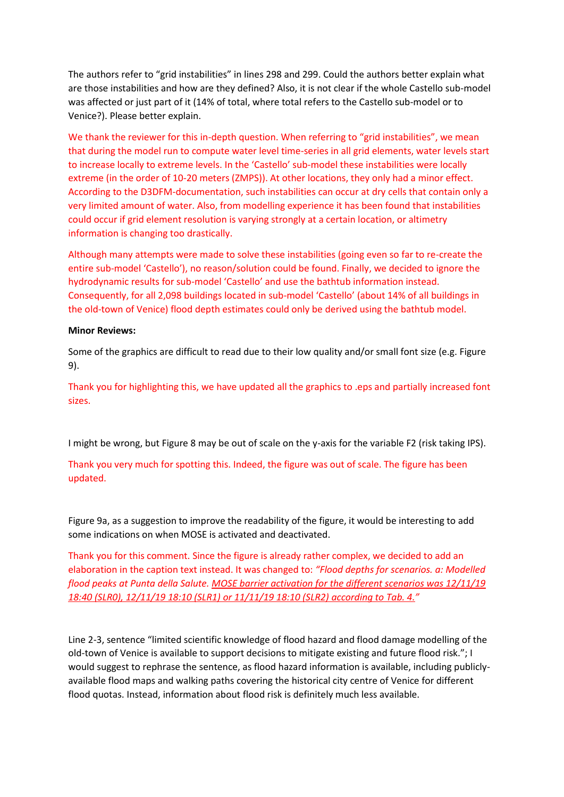The authors refer to "grid instabilities" in lines 298 and 299. Could the authors better explain what are those instabilities and how are they defined? Also, it is not clear if the whole Castello sub-model was affected or just part of it (14% of total, where total refers to the Castello sub-model or to Venice?). Please better explain.

We thank the reviewer for this in-depth question. When referring to "grid instabilities", we mean that during the model run to compute water level time-series in all grid elements, water levels start to increase locally to extreme levels. In the 'Castello' sub-model these instabilities were locally extreme (in the order of 10-20 meters (ZMPS)). At other locations, they only had a minor effect. According to the D3DFM-documentation, such instabilities can occur at dry cells that contain only a very limited amount of water. Also, from modelling experience it has been found that instabilities could occur if grid element resolution is varying strongly at a certain location, or altimetry information is changing too drastically.

Although many attempts were made to solve these instabilities (going even so far to re-create the entire sub-model 'Castello'), no reason/solution could be found. Finally, we decided to ignore the hydrodynamic results for sub-model 'Castello' and use the bathtub information instead. Consequently, for all 2,098 buildings located in sub-model 'Castello' (about 14% of all buildings in the old-town of Venice) flood depth estimates could only be derived using the bathtub model.

## **Minor Reviews:**

Some of the graphics are difficult to read due to their low quality and/or small font size (e.g. Figure 9).

Thank you for highlighting this, we have updated all the graphics to .eps and partially increased font sizes.

I might be wrong, but Figure 8 may be out of scale on the y-axis for the variable F2 (risk taking IPS).

Thank you very much for spotting this. Indeed, the figure was out of scale. The figure has been updated.

Figure 9a, as a suggestion to improve the readability of the figure, it would be interesting to add some indications on when MOSE is activated and deactivated.

Thank you for this comment. Since the figure is already rather complex, we decided to add an elaboration in the caption text instead. It was changed to: *"Flood depths for scenarios. a: Modelled flood peaks at Punta della Salute. MOSE barrier activation for the different scenarios was 12/11/19 18:40 (SLR0), 12/11/19 18:10 (SLR1) or 11/11/19 18:10 (SLR2) according to Tab. 4."* 

Line 2-3, sentence "limited scientific knowledge of flood hazard and flood damage modelling of the old-town of Venice is available to support decisions to mitigate existing and future flood risk."; I would suggest to rephrase the sentence, as flood hazard information is available, including publiclyavailable flood maps and walking paths covering the historical city centre of Venice for different flood quotas. Instead, information about flood risk is definitely much less available.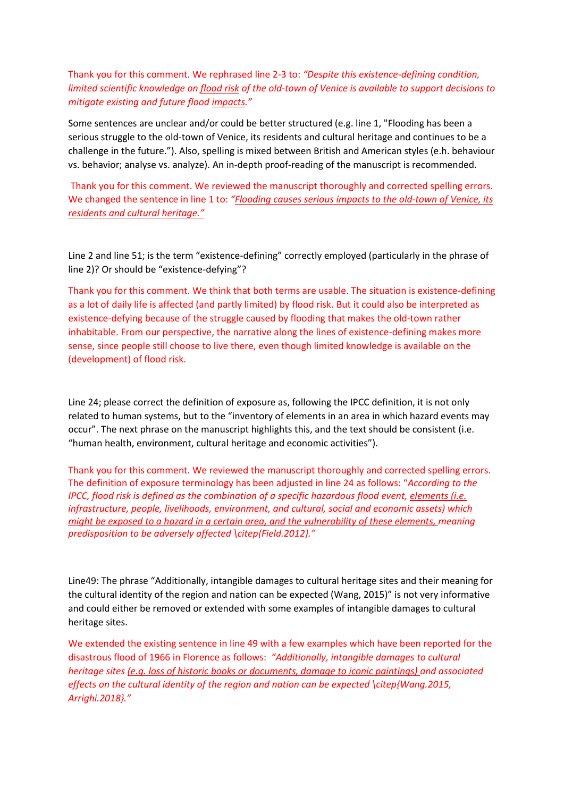Thank you for this comment. We rephrased line 2-3 to: *"Despite this existence-defining condition, limited scientific knowledge on flood risk of the old-town of Venice is available to support decisions to mitigate existing and future flood impacts."*

Some sentences are unclear and/or could be better structured (e.g. line 1, "Flooding has been a serious struggle to the old-town of Venice, its residents and cultural heritage and continues to be a challenge in the future."). Also, spelling is mixed between British and American styles (e.h. behaviour vs. behavior; analyse vs. analyze). An in-depth proof-reading of the manuscript is recommended.

Thank you for this comment. We reviewed the manuscript thoroughly and corrected spelling errors. We changed the sentence in line 1 to: *"Flooding causes serious impacts to the old-town of Venice, its residents and cultural heritage."*

Line 2 and line 51; is the term "existence-defining" correctly employed (particularly in the phrase of line 2)? Or should be "existence-defying"?

Thank you for this comment. We think that both terms are usable. The situation is existence-defining as a lot of daily life is affected (and partly limited) by flood risk. But it could also be interpreted as existence-defying because of the struggle caused by flooding that makes the old-town rather inhabitable. From our perspective, the narrative along the lines of existence-defining makes more sense, since people still choose to live there, even though limited knowledge is available on the (development) of flood risk.

Line 24; please correct the definition of exposure as, following the IPCC definition, it is not only related to human systems, but to the "inventory of elements in an area in which hazard events may occur". The next phrase on the manuscript highlights this, and the text should be consistent (i.e. "human health, environment, cultural heritage and economic activities").

Thank you for this comment. We reviewed the manuscript thoroughly and corrected spelling errors. The definition of exposure terminology has been adjusted in line 24 as follows: "*According to the IPCC, flood risk is defined as the combination of a specific hazardous flood event, elements (i.e. infrastructure, people, livelihoods, environment, and cultural, social and economic assets) which might be exposed to a hazard in a certain area, and the vulnerability of these elements, meaning predisposition to be adversely affected \citep{Field.2012}."*

Line49: The phrase "Additionally, intangible damages to cultural heritage sites and their meaning for the cultural identity of the region and nation can be expected (Wang, 2015)" is not very informative and could either be removed or extended with some examples of intangible damages to cultural heritage sites.

We extended the existing sentence in line 49 with a few examples which have been reported for the disastrous flood of 1966 in Florence as follows: *"Additionally, intangible damages to cultural heritage sites (e.g. loss of historic books or documents, damage to iconic paintings) and associated effects on the cultural identity of the region and nation can be expected \citep{Wang.2015, Arrighi.2018}."*